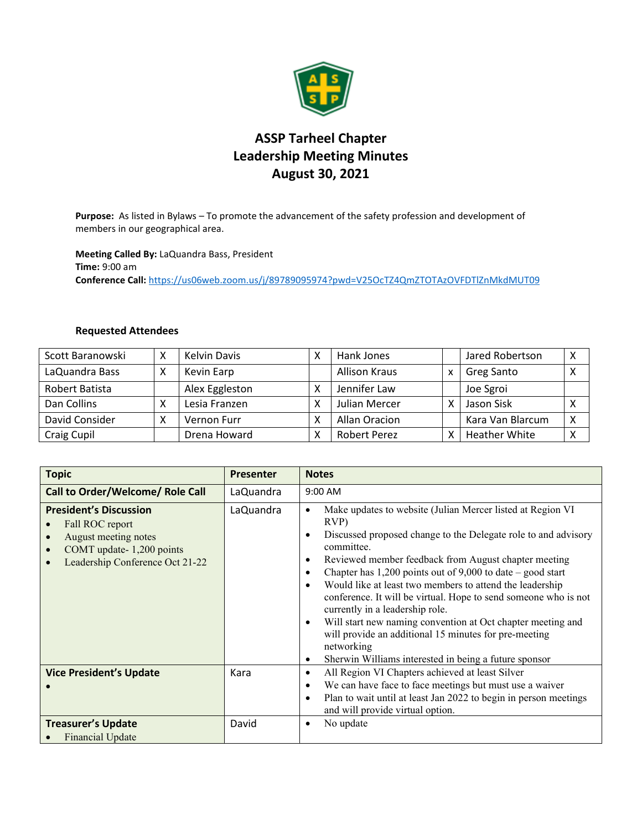

## **ASSP Tarheel Chapter Leadership Meeting Minutes August 30, 2021**

**Purpose:** As listed in Bylaws – To promote the advancement of the safety profession and development of members in our geographical area.

**Meeting Called By:** LaQuandra Bass, President **Time:** 9:00 am **Conference Call:** <https://us06web.zoom.us/j/89789095974?pwd=V25OcTZ4QmZTOTAzOVFDTlZnMkdMUT09>

## **Requested Attendees**

| Scott Baranowski   | χ | Kelvin Davis   | х | Hank Jones           |   | Jared Robertson      | X |
|--------------------|---|----------------|---|----------------------|---|----------------------|---|
| LaQuandra Bass     |   | Kevin Earp     |   | <b>Allison Kraus</b> | X | Greg Santo           | X |
| Robert Batista     |   | Alex Eggleston | χ | Jennifer Law         |   | Joe Sgroi            |   |
| Dan Collins        | ⋏ | Lesia Franzen  | χ | Julian Mercer        |   | Jason Sisk           | X |
| David Consider     |   | Vernon Furr    | x | Allan Oracion        |   | Kara Van Blarcum     | X |
| <b>Craig Cupil</b> |   | Drena Howard   | χ | <b>Robert Perez</b>  |   | <b>Heather White</b> | X |

| <b>Topic</b>                                                                                                                                         | <b>Presenter</b> | <b>Notes</b>                                                                                                                                                                                                                                                                                                                                                                                                                                                                                                                                                                                                                                                                                                              |
|------------------------------------------------------------------------------------------------------------------------------------------------------|------------------|---------------------------------------------------------------------------------------------------------------------------------------------------------------------------------------------------------------------------------------------------------------------------------------------------------------------------------------------------------------------------------------------------------------------------------------------------------------------------------------------------------------------------------------------------------------------------------------------------------------------------------------------------------------------------------------------------------------------------|
| Call to Order/Welcome/ Role Call                                                                                                                     | LaQuandra        | 9:00 AM                                                                                                                                                                                                                                                                                                                                                                                                                                                                                                                                                                                                                                                                                                                   |
| <b>President's Discussion</b><br>Fall ROC report<br>August meeting notes<br>COMT update-1,200 points<br>$\bullet$<br>Leadership Conference Oct 21-22 | LaQuandra        | Make updates to website (Julian Mercer listed at Region VI<br>$\bullet$<br>$RVP$ )<br>Discussed proposed change to the Delegate role to and advisory<br>$\bullet$<br>committee.<br>Reviewed member feedback from August chapter meeting<br>٠<br>Chapter has $1,200$ points out of 9,000 to date – good start<br>٠<br>Would like at least two members to attend the leadership<br>$\bullet$<br>conference. It will be virtual. Hope to send someone who is not<br>currently in a leadership role.<br>Will start new naming convention at Oct chapter meeting and<br>$\bullet$<br>will provide an additional 15 minutes for pre-meeting<br>networking<br>Sherwin Williams interested in being a future sponsor<br>$\bullet$ |
| <b>Vice President's Update</b>                                                                                                                       | Kara             | All Region VI Chapters achieved at least Silver<br>$\bullet$<br>We can have face to face meetings but must use a waiver<br>$\bullet$<br>Plan to wait until at least Jan 2022 to begin in person meetings<br>$\bullet$<br>and will provide virtual option.                                                                                                                                                                                                                                                                                                                                                                                                                                                                 |
| <b>Treasurer's Update</b><br><b>Financial Update</b>                                                                                                 | David            | No update<br>$\bullet$                                                                                                                                                                                                                                                                                                                                                                                                                                                                                                                                                                                                                                                                                                    |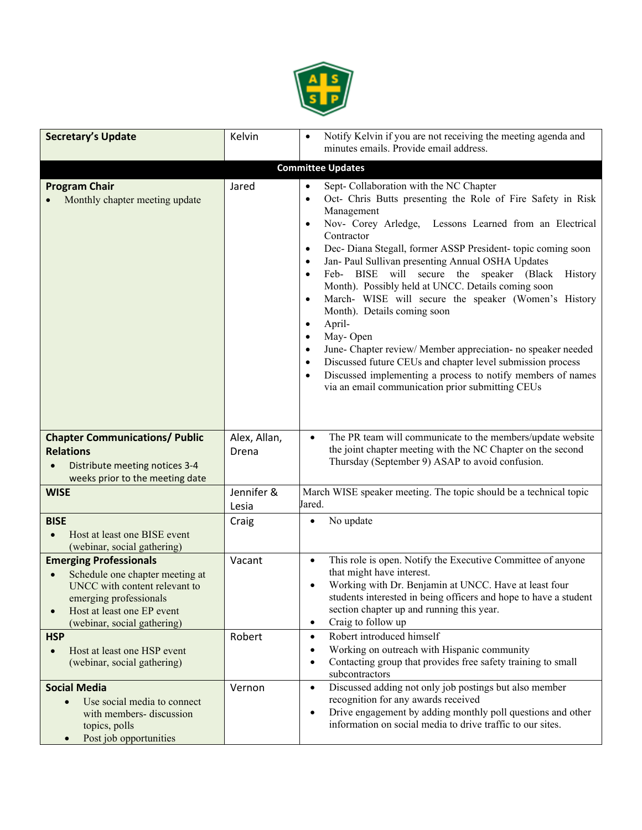

| <b>Secretary's Update</b>                                                                                                                                                                                          | Kelvin                | Notify Kelvin if you are not receiving the meeting agenda and<br>minutes emails. Provide email address.                                                                                                                                                                                                                                                                                                                                                                                                                                                                                                                                                                                                                                                                                                                                                                                                                                                  |
|--------------------------------------------------------------------------------------------------------------------------------------------------------------------------------------------------------------------|-----------------------|----------------------------------------------------------------------------------------------------------------------------------------------------------------------------------------------------------------------------------------------------------------------------------------------------------------------------------------------------------------------------------------------------------------------------------------------------------------------------------------------------------------------------------------------------------------------------------------------------------------------------------------------------------------------------------------------------------------------------------------------------------------------------------------------------------------------------------------------------------------------------------------------------------------------------------------------------------|
|                                                                                                                                                                                                                    |                       | <b>Committee Updates</b>                                                                                                                                                                                                                                                                                                                                                                                                                                                                                                                                                                                                                                                                                                                                                                                                                                                                                                                                 |
| <b>Program Chair</b><br>Monthly chapter meeting update                                                                                                                                                             | Jared                 | Sept- Collaboration with the NC Chapter<br>$\bullet$<br>Oct- Chris Butts presenting the Role of Fire Safety in Risk<br>$\bullet$<br>Management<br>Nov- Corey Arledge, Lessons Learned from an Electrical<br>$\bullet$<br>Contractor<br>Dec- Diana Stegall, former ASSP President- topic coming soon<br>$\bullet$<br>Jan- Paul Sullivan presenting Annual OSHA Updates<br>$\bullet$<br>Feb- BISE will secure the speaker (Black<br>History<br>$\bullet$<br>Month). Possibly held at UNCC. Details coming soon<br>March- WISE will secure the speaker (Women's History<br>$\bullet$<br>Month). Details coming soon<br>April-<br>$\bullet$<br>May-Open<br>$\bullet$<br>June- Chapter review/ Member appreciation- no speaker needed<br>$\bullet$<br>Discussed future CEUs and chapter level submission process<br>$\bullet$<br>Discussed implementing a process to notify members of names<br>$\bullet$<br>via an email communication prior submitting CEUs |
| <b>Chapter Communications/ Public</b><br><b>Relations</b><br>Distribute meeting notices 3-4<br>weeks prior to the meeting date                                                                                     | Alex, Allan,<br>Drena | The PR team will communicate to the members/update website<br>$\bullet$<br>the joint chapter meeting with the NC Chapter on the second<br>Thursday (September 9) ASAP to avoid confusion.                                                                                                                                                                                                                                                                                                                                                                                                                                                                                                                                                                                                                                                                                                                                                                |
| <b>WISE</b>                                                                                                                                                                                                        | Jennifer &<br>Lesia   | March WISE speaker meeting. The topic should be a technical topic<br>Jared.                                                                                                                                                                                                                                                                                                                                                                                                                                                                                                                                                                                                                                                                                                                                                                                                                                                                              |
| <b>BISE</b><br>Host at least one BISE event<br>(webinar, social gathering)                                                                                                                                         | Craig                 | No update<br>$\bullet$                                                                                                                                                                                                                                                                                                                                                                                                                                                                                                                                                                                                                                                                                                                                                                                                                                                                                                                                   |
| <b>Emerging Professionals</b><br>Schedule one chapter meeting at<br>$\bullet$<br>UNCC with content relevant to<br>emerging professionals<br>Host at least one EP event<br>$\bullet$<br>(webinar, social gathering) | Vacant                | This role is open. Notify the Executive Committee of anyone<br>$\bullet$<br>that might have interest.<br>Working with Dr. Benjamin at UNCC. Have at least four<br>$\bullet$<br>students interested in being officers and hope to have a student<br>section chapter up and running this year.<br>Craig to follow up<br>$\bullet$                                                                                                                                                                                                                                                                                                                                                                                                                                                                                                                                                                                                                          |
| <b>HSP</b><br>Host at least one HSP event<br>$\bullet$<br>(webinar, social gathering)                                                                                                                              | Robert                | Robert introduced himself<br>$\bullet$<br>Working on outreach with Hispanic community<br>$\bullet$<br>Contacting group that provides free safety training to small<br>$\bullet$<br>subcontractors                                                                                                                                                                                                                                                                                                                                                                                                                                                                                                                                                                                                                                                                                                                                                        |
| <b>Social Media</b><br>Use social media to connect<br>$\bullet$<br>with members- discussion<br>topics, polls<br>Post job opportunities<br>$\bullet$                                                                | Vernon                | Discussed adding not only job postings but also member<br>$\bullet$<br>recognition for any awards received<br>Drive engagement by adding monthly poll questions and other<br>$\bullet$<br>information on social media to drive traffic to our sites.                                                                                                                                                                                                                                                                                                                                                                                                                                                                                                                                                                                                                                                                                                     |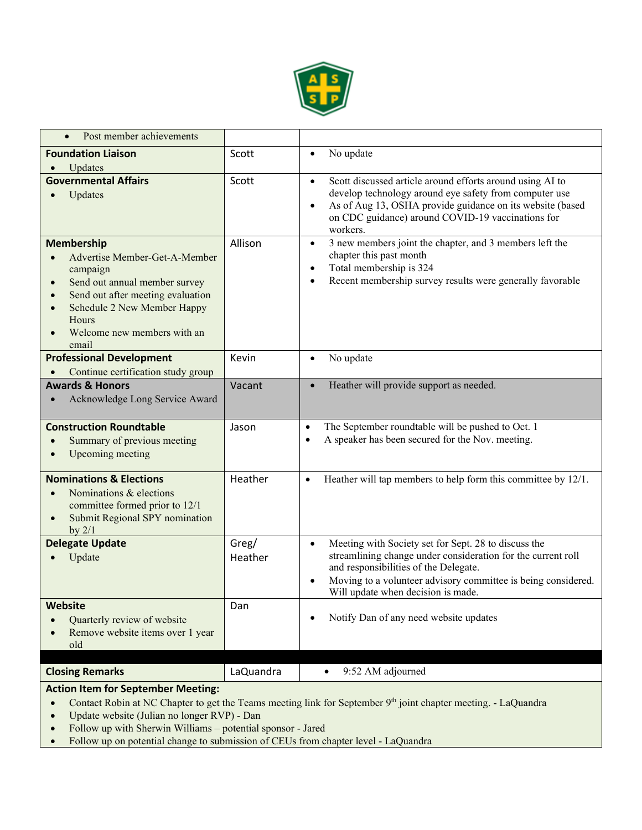

| Post member achievements                                                                                                                                                                                                                                    |                  |                                                                                                                                                                                                                                                                                   |
|-------------------------------------------------------------------------------------------------------------------------------------------------------------------------------------------------------------------------------------------------------------|------------------|-----------------------------------------------------------------------------------------------------------------------------------------------------------------------------------------------------------------------------------------------------------------------------------|
| <b>Foundation Liaison</b><br>Updates                                                                                                                                                                                                                        | Scott            | No update<br>$\bullet$                                                                                                                                                                                                                                                            |
| <b>Governmental Affairs</b><br>Updates                                                                                                                                                                                                                      | Scott            | Scott discussed article around efforts around using AI to<br>$\bullet$<br>develop technology around eye safety from computer use<br>As of Aug 13, OSHA provide guidance on its website (based<br>$\bullet$<br>on CDC guidance) around COVID-19 vaccinations for<br>workers.       |
| <b>Membership</b><br>Advertise Member-Get-A-Member<br>campaign<br>Send out annual member survey<br>Send out after meeting evaluation<br>$\bullet$<br>Schedule 2 New Member Happy<br>$\bullet$<br>Hours<br>Welcome new members with an<br>$\bullet$<br>email | Allison          | 3 new members joint the chapter, and 3 members left the<br>$\bullet$<br>chapter this past month<br>Total membership is 324<br>$\bullet$<br>Recent membership survey results were generally favorable<br>$\bullet$                                                                 |
| <b>Professional Development</b><br>Continue certification study group                                                                                                                                                                                       | Kevin            | No update<br>$\bullet$                                                                                                                                                                                                                                                            |
| <b>Awards &amp; Honors</b><br>Acknowledge Long Service Award                                                                                                                                                                                                | Vacant           | Heather will provide support as needed.<br>$\bullet$                                                                                                                                                                                                                              |
| <b>Construction Roundtable</b><br>Summary of previous meeting<br>$\bullet$<br>Upcoming meeting                                                                                                                                                              | Jason            | The September roundtable will be pushed to Oct. 1<br>$\bullet$<br>A speaker has been secured for the Nov. meeting.<br>$\bullet$                                                                                                                                                   |
| <b>Nominations &amp; Elections</b><br>Nominations & elections<br>$\bullet$<br>committee formed prior to 12/1<br>Submit Regional SPY nomination<br>by $2/1$                                                                                                  | Heather          | Heather will tap members to help form this committee by 12/1.<br>$\bullet$                                                                                                                                                                                                        |
| <b>Delegate Update</b><br>Update                                                                                                                                                                                                                            | Greg/<br>Heather | Meeting with Society set for Sept. 28 to discuss the<br>$\bullet$<br>streamlining change under consideration for the current roll<br>and responsibilities of the Delegate.<br>Moving to a volunteer advisory committee is being considered.<br>Will update when decision is made. |
| Website<br>Quarterly review of website<br>Remove website items over 1 year<br>$\bullet$<br>old                                                                                                                                                              | Dan              | Notify Dan of any need website updates                                                                                                                                                                                                                                            |
| <b>Closing Remarks</b>                                                                                                                                                                                                                                      | LaQuandra        | 9:52 AM adjourned                                                                                                                                                                                                                                                                 |

## **Action Item for September Meeting:**

- Contact Robin at NC Chapter to get the Teams meeting link for September 9<sup>th</sup> joint chapter meeting. LaQuandra
- Update website (Julian no longer RVP) Dan
- Follow up with Sherwin Williams potential sponsor Jared<br>• Follow up on potential change to submission of CEUs from cl
- Follow up on potential change to submission of CEUs from chapter level LaQuandra